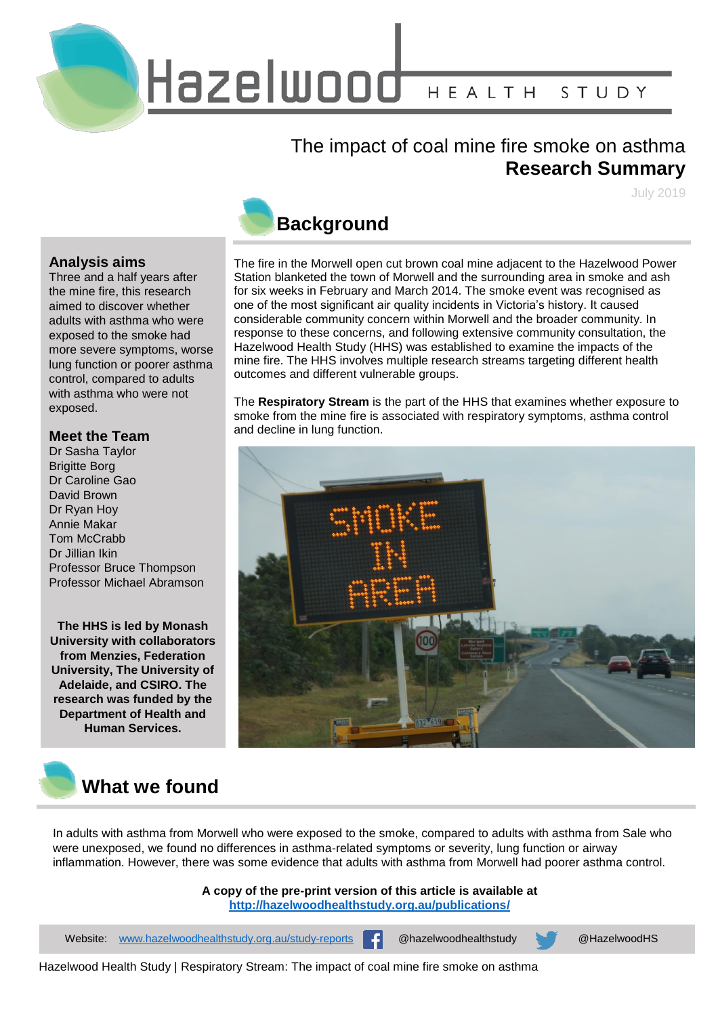

#### The impact of coal mine fire smoke on asthma **Research Summary**

July 2019

#### **Analysis aims**

Three and a half years after the mine fire, this research aimed to discover whether adults with asthma who were exposed to the smoke had more severe symptoms, worse lung function or poorer asthma control, compared to adults with asthma who were not exposed.

#### **Meet the Team**

Dr Sasha Taylor Brigitte Borg Dr Caroline Gao David Brown Dr Ryan Hoy Annie Makar Tom McCrabb Dr Jillian Ikin Professor Bruce Thompson Professor Michael Abramson

**The HHS is led by Monash University with collaborators from Menzies, Federation University, The University of Adelaide, and CSIRO. The research was funded by the Department of Health and Human Services.**



## **Background**

The fire in the Morwell open cut brown coal mine adjacent to the Hazelwood Power Station blanketed the town of Morwell and the surrounding area in smoke and ash for six weeks in February and March 2014. The smoke event was recognised as one of the most significant air quality incidents in Victoria's history. It caused considerable community concern within Morwell and the broader community. In response to these concerns, and following extensive community consultation, the Hazelwood Health Study (HHS) was established to examine the impacts of the mine fire. The HHS involves multiple research streams targeting different health outcomes and different vulnerable groups.

The **Respiratory Stream** is the part of the HHS that examines whether exposure to smoke from the mine fire is associated with respiratory symptoms, asthma control and decline in lung function.



In adults with asthma from Morwell who were exposed to the smoke, compared to adults with asthma from Sale who were unexposed, we found no differences in asthma-related symptoms or severity, lung function or airway inflammation. However, there was some evidence that adults with asthma from Morwell had poorer asthma control.

> **A copy of the pre-print version of this article is available at <http://hazelwoodhealthstudy.org.au/publications/>**

Website: [www.hazelwoodhealthstudy.org.au/study-reports](http://www.hazelwoodhealthstudy.org.au/study-reports)  $\cdot$  @hazelwoodhealthstudy @HazelwoodHS

Hazelwood Health Study | Respiratory Stream: The impact of coal mine fire smoke on asthma